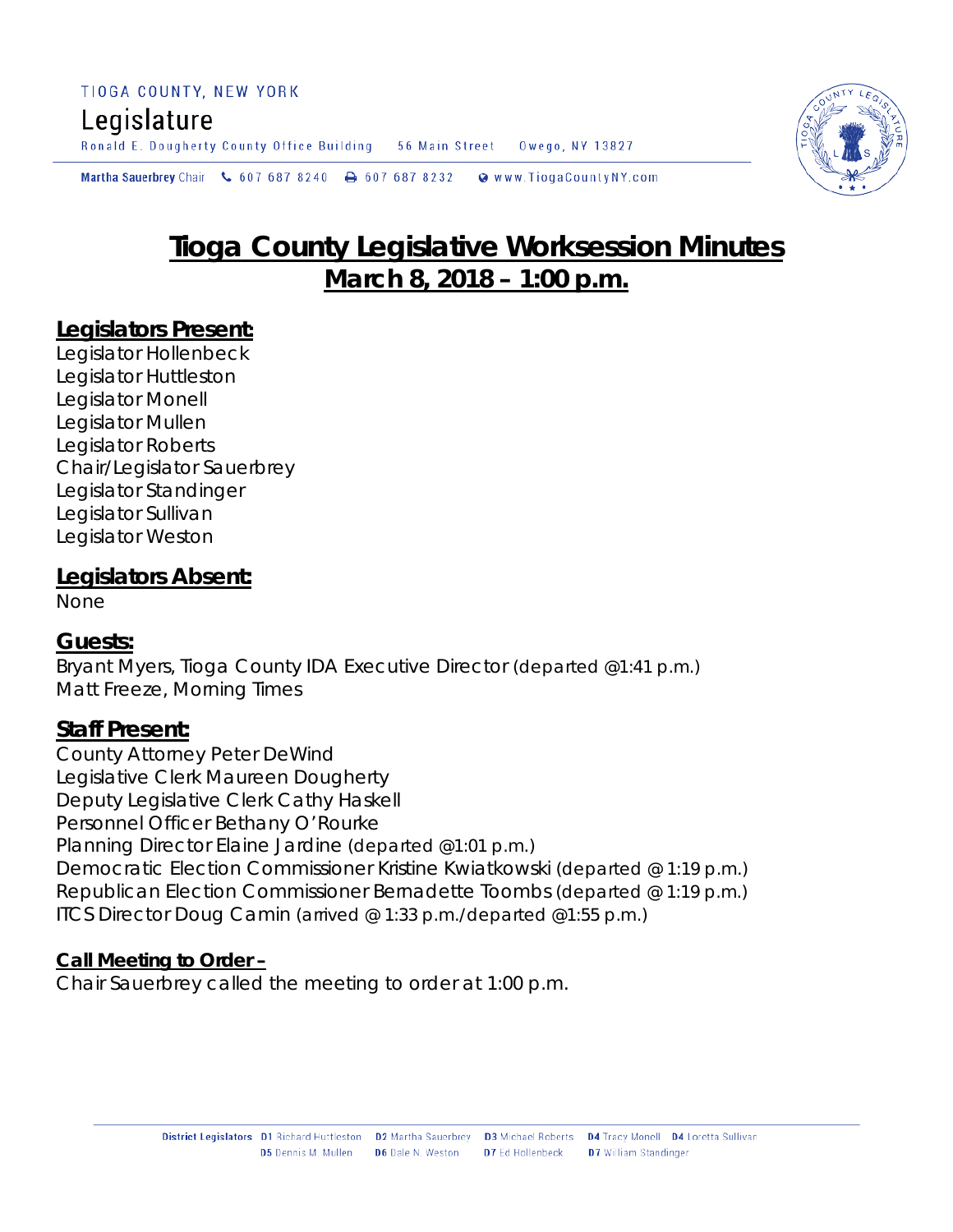# Legislature

Ronald E. Dougherty County Office Building 56 Main Street Owego, NY 13827

**Martha Sauerbrey** Chair  $\binom{6}{5}$  607 687 8240  $\rightarrow$  607 687 8232 Www.TiogaCountyNY.com



### **Legislators Present:**

Legislator Hollenbeck Legislator Huttleston Legislator Monell Legislator Mullen Legislator Roberts Chair/Legislator Sauerbrey Legislator Standinger Legislator Sullivan Legislator Weston

#### **Legislators Absent:**

None

### **Guests:**

Bryant Myers, Tioga County IDA Executive Director *(departed @1:41 p.m.)* Matt Freeze, Morning Times

### **Staff Present:**

County Attorney Peter DeWind Legislative Clerk Maureen Dougherty Deputy Legislative Clerk Cathy Haskell Personnel Officer Bethany O'Rourke Planning Director Elaine Jardine *(departed @1:01 p.m.)* Democratic Election Commissioner Kristine Kwiatkowski *(departed @ 1:19 p.m.)* Republican Election Commissioner Bernadette Toombs *(departed @ 1:19 p.m.)* ITCS Director Doug Camin *(arrived @ 1:33 p.m./departed @1:55 p.m.)*

### **Call Meeting to Order –**

Chair Sauerbrey called the meeting to order at 1:00 p.m.

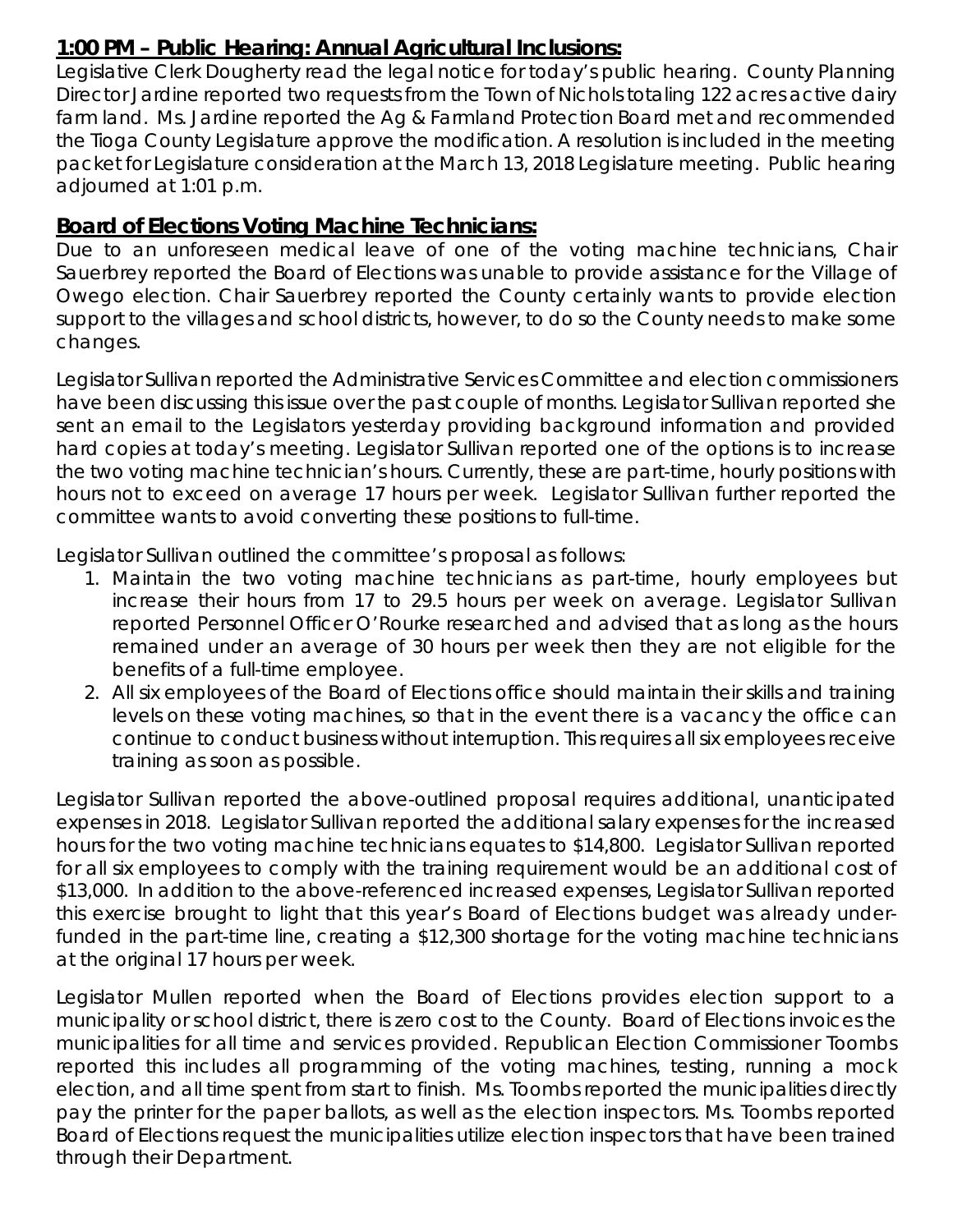### **1:00 PM – Public Hearing: Annual Agricultural Inclusions:**

Legislative Clerk Dougherty read the legal notice for today's public hearing. County Planning Director Jardine reported two requests from the Town of Nichols totaling 122 acres active dairy farm land. Ms. Jardine reported the Ag & Farmland Protection Board met and recommended the Tioga County Legislature approve the modification. A resolution is included in the meeting packet for Legislature consideration at the March 13, 2018 Legislature meeting. Public hearing adjourned at 1:01 p.m.

### **Board of Elections Voting Machine Technicians:**

Due to an unforeseen medical leave of one of the voting machine technicians, Chair Sauerbrey reported the Board of Elections was unable to provide assistance for the Village of Owego election. Chair Sauerbrey reported the County certainly wants to provide election support to the villages and school districts, however, to do so the County needs to make some changes.

Legislator Sullivan reported the Administrative Services Committee and election commissioners have been discussing this issue over the past couple of months. Legislator Sullivan reported she sent an email to the Legislators yesterday providing background information and provided hard copies at today's meeting. Legislator Sullivan reported one of the options is to increase the two voting machine technician's hours. Currently, these are part-time, hourly positions with hours not to exceed on average 17 hours per week. Legislator Sullivan further reported the committee wants to avoid converting these positions to full-time.

Legislator Sullivan outlined the committee's proposal as follows:

- 1. Maintain the two voting machine technicians as part-time, hourly employees but increase their hours from 17 to 29.5 hours per week on average. Legislator Sullivan reported Personnel Officer O'Rourke researched and advised that as long as the hours remained under an average of 30 hours per week then they are not eligible for the benefits of a full-time employee.
- 2. All six employees of the Board of Elections office should maintain their skills and training levels on these voting machines, so that in the event there is a vacancy the office can continue to conduct business without interruption. This requires all six employees receive training as soon as possible.

Legislator Sullivan reported the above-outlined proposal requires additional, unanticipated expenses in 2018. Legislator Sullivan reported the additional salary expenses for the increased hours for the two voting machine technicians equates to \$14,800. Legislator Sullivan reported for all six employees to comply with the training requirement would be an additional cost of \$13,000. In addition to the above-referenced increased expenses, Legislator Sullivan reported this exercise brought to light that this year's Board of Elections budget was already underfunded in the part-time line, creating a \$12,300 shortage for the voting machine technicians at the original 17 hours per week.

Legislator Mullen reported when the Board of Elections provides election support to a municipality or school district, there is zero cost to the County. Board of Elections invoices the municipalities for all time and services provided. Republican Election Commissioner Toombs reported this includes all programming of the voting machines, testing, running a mock election, and all time spent from start to finish. Ms. Toombs reported the municipalities directly pay the printer for the paper ballots, as well as the election inspectors. Ms. Toombs reported Board of Elections request the municipalities utilize election inspectors that have been trained through their Department.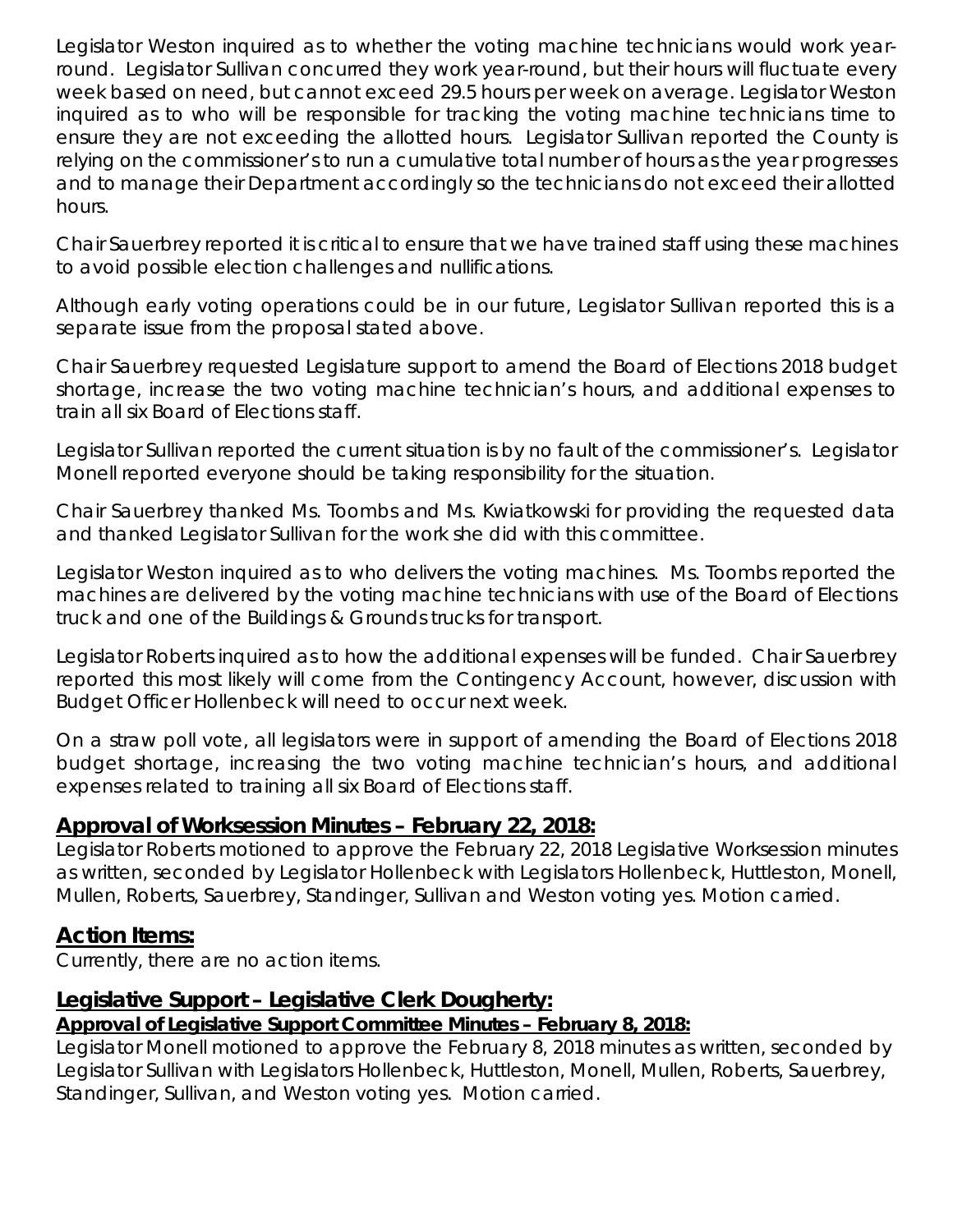Legislator Weston inquired as to whether the voting machine technicians would work yearround. Legislator Sullivan concurred they work year-round, but their hours will fluctuate every week based on need, but cannot exceed 29.5 hours per week on average. Legislator Weston inquired as to who will be responsible for tracking the voting machine technicians time to ensure they are not exceeding the allotted hours. Legislator Sullivan reported the County is relying on the commissioner's to run a cumulative total number of hours as the year progresses and to manage their Department accordingly so the technicians do not exceed their allotted hours.

Chair Sauerbrey reported it is critical to ensure that we have trained staff using these machines to avoid possible election challenges and nullifications.

Although early voting operations could be in our future, Legislator Sullivan reported this is a separate issue from the proposal stated above.

Chair Sauerbrey requested Legislature support to amend the Board of Elections 2018 budget shortage, increase the two voting machine technician's hours, and additional expenses to train all six Board of Elections staff.

Legislator Sullivan reported the current situation is by no fault of the commissioner's. Legislator Monell reported everyone should be taking responsibility for the situation.

Chair Sauerbrey thanked Ms. Toombs and Ms. Kwiatkowski for providing the requested data and thanked Legislator Sullivan for the work she did with this committee.

Legislator Weston inquired as to who delivers the voting machines. Ms. Toombs reported the machines are delivered by the voting machine technicians with use of the Board of Elections truck and one of the Buildings & Grounds trucks for transport.

Legislator Roberts inquired as to how the additional expenses will be funded. Chair Sauerbrey reported this most likely will come from the Contingency Account, however, discussion with Budget Officer Hollenbeck will need to occur next week.

On a straw poll vote, all legislators were in support of amending the Board of Elections 2018 budget shortage, increasing the two voting machine technician's hours, and additional expenses related to training all six Board of Elections staff.

### **Approval of Worksession Minutes – February 22, 2018:**

Legislator Roberts motioned to approve the February 22, 2018 Legislative Worksession minutes as written, seconded by Legislator Hollenbeck with Legislators Hollenbeck, Huttleston, Monell, Mullen, Roberts, Sauerbrey, Standinger, Sullivan and Weston voting yes. Motion carried.

### **Action Items:**

Currently, there are no action items.

# **Legislative Support – Legislative Clerk Dougherty:**

# *Approval of Legislative Support Committee Minutes – February 8, 2018:*

Legislator Monell motioned to approve the February 8, 2018 minutes as written, seconded by Legislator Sullivan with Legislators Hollenbeck, Huttleston, Monell, Mullen, Roberts, Sauerbrey, Standinger, Sullivan, and Weston voting yes. Motion carried.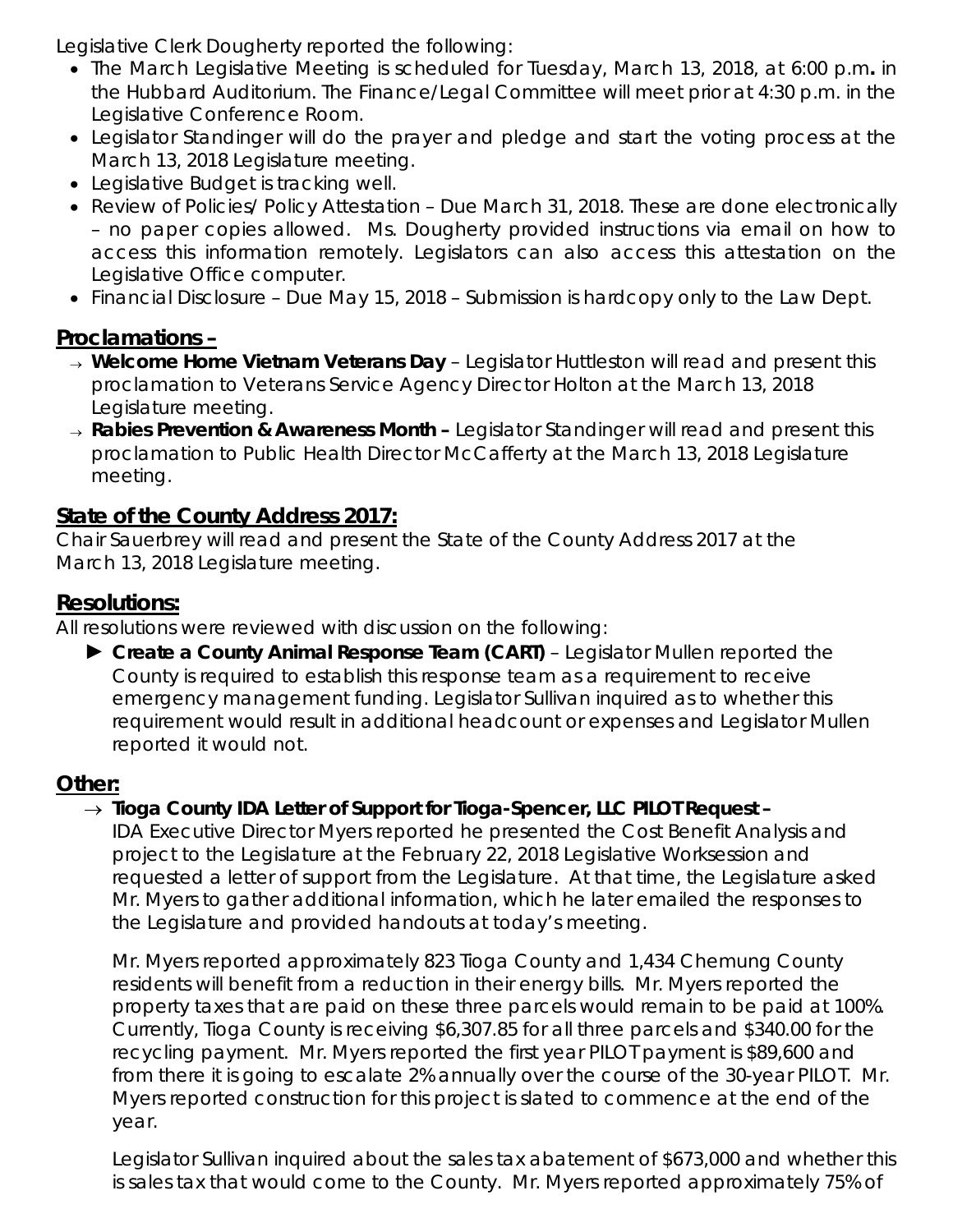Legislative Clerk Dougherty reported the following:

- The March Legislative Meeting is scheduled for Tuesday, March 13, 2018, at 6:00 p.m*.* in the Hubbard Auditorium. The Finance/Legal Committee will meet prior at 4:30 p.m. in the Legislative Conference Room.
- Legislator Standinger will do the prayer and pledge and start the voting process at the March 13, 2018 Legislature meeting.
- Legislative Budget is tracking well.
- Review of Policies/ Policy Attestation Due March 31, 2018. These are done electronically – no paper copies allowed. Ms. Dougherty provided instructions via email on how to access this information remotely. Legislators can also access this attestation on the Legislative Office computer.
- Financial Disclosure Due May 15, 2018 Submission is hardcopy only to the Law Dept.

# **Proclamations –**

- <sup>→</sup> *Welcome Home Vietnam Veterans Day*  Legislator Huttleston will read and present this proclamation to Veterans Service Agency Director Holton at the March 13, 2018 Legislature meeting.
- <sup>→</sup> *Rabies Prevention & Awareness Month –* Legislator Standinger will read and present this proclamation to Public Health Director McCafferty at the March 13, 2018 Legislature meeting.

# **State of the County Address 2017:**

Chair Sauerbrey will read and present the State of the County Address 2017 at the March 13, 2018 Legislature meeting.

# **Resolutions:**

All resolutions were reviewed with discussion on the following:

► *Create a County Animal Response Team (CART)* – Legislator Mullen reported the County is required to establish this response team as a requirement to receive emergency management funding. Legislator Sullivan inquired as to whether this requirement would result in additional headcount or expenses and Legislator Mullen reported it would not.

# **Other:**

# → *Tioga County IDA Letter of Support for Tioga-Spencer, LLC PILOT Request –*

IDA Executive Director Myers reported he presented the Cost Benefit Analysis and project to the Legislature at the February 22, 2018 Legislative Worksession and requested a letter of support from the Legislature. At that time, the Legislature asked Mr. Myers to gather additional information, which he later emailed the responses to the Legislature and provided handouts at today's meeting.

Mr. Myers reported approximately 823 Tioga County and 1,434 Chemung County residents will benefit from a reduction in their energy bills. Mr. Myers reported the property taxes that are paid on these three parcels would remain to be paid at 100%. Currently, Tioga County is receiving \$6,307.85 for all three parcels and \$340.00 for the recycling payment. Mr. Myers reported the first year PILOT payment is \$89,600 and from there it is going to escalate 2% annually over the course of the 30-year PILOT. Mr. Myers reported construction for this project is slated to commence at the end of the year.

Legislator Sullivan inquired about the sales tax abatement of \$673,000 and whether this is sales tax that would come to the County. Mr. Myers reported approximately 75% of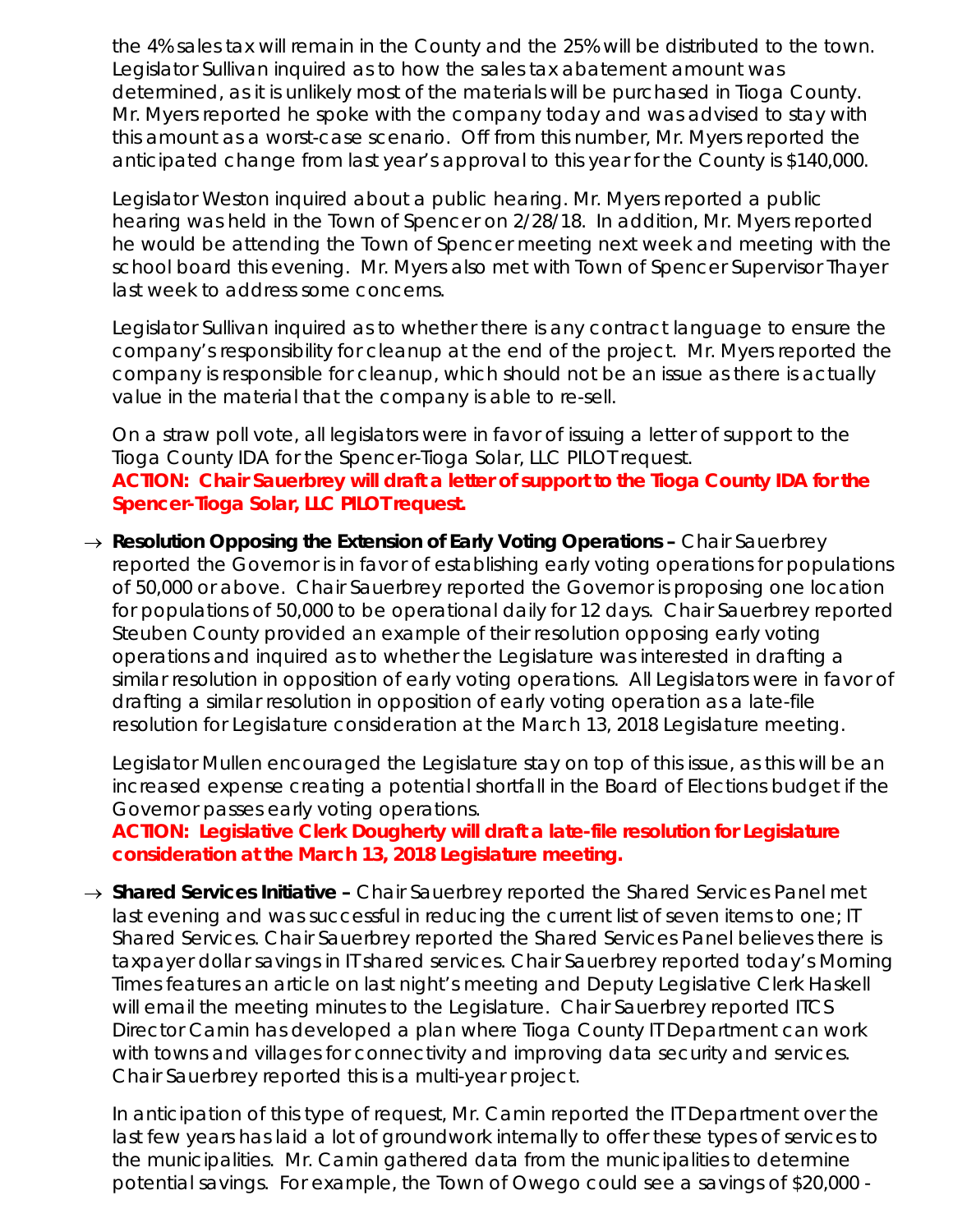the 4% sales tax will remain in the County and the 25% will be distributed to the town. Legislator Sullivan inquired as to how the sales tax abatement amount was determined, as it is unlikely most of the materials will be purchased in Tioga County. Mr. Myers reported he spoke with the company today and was advised to stay with this amount as a worst-case scenario. Off from this number, Mr. Myers reported the anticipated change from last year's approval to this year for the County is \$140,000.

Legislator Weston inquired about a public hearing. Mr. Myers reported a public hearing was held in the Town of Spencer on 2/28/18. In addition, Mr. Myers reported he would be attending the Town of Spencer meeting next week and meeting with the school board this evening. Mr. Myers also met with Town of Spencer Supervisor Thayer last week to address some concerns.

Legislator Sullivan inquired as to whether there is any contract language to ensure the company's responsibility for cleanup at the end of the project. Mr. Myers reported the company is responsible for cleanup, which should not be an issue as there is actually value in the material that the company is able to re-sell.

On a straw poll vote, all legislators were in favor of issuing a letter of support to the Tioga County IDA for the Spencer-Tioga Solar, LLC PILOT request. **ACTION: Chair Sauerbrey will draft a letter of support to the Tioga County IDA for the Spencer-Tioga Solar, LLC PILOT request.** 

→ *Resolution Opposing the Extension of Early Voting Operations –* Chair Sauerbrey reported the Governor is in favor of establishing early voting operations for populations of 50,000 or above. Chair Sauerbrey reported the Governor is proposing one location for populations of 50,000 to be operational daily for 12 days. Chair Sauerbrey reported Steuben County provided an example of their resolution opposing early voting operations and inquired as to whether the Legislature was interested in drafting a similar resolution in opposition of early voting operations. All Legislators were in favor of drafting a similar resolution in opposition of early voting operation as a late-file resolution for Legislature consideration at the March 13, 2018 Legislature meeting.

Legislator Mullen encouraged the Legislature stay on top of this issue, as this will be an increased expense creating a potential shortfall in the Board of Elections budget if the Governor passes early voting operations.

*ACTION: Legislative Clerk Dougherty will draft a late-file resolution for Legislature consideration at the March 13, 2018 Legislature meeting.* 

→ *Shared Services Initiative –* Chair Sauerbrey reported the Shared Services Panel met last evening and was successful in reducing the current list of seven items to one; IT Shared Services. Chair Sauerbrey reported the Shared Services Panel believes there is taxpayer dollar savings in IT shared services. Chair Sauerbrey reported today's Morning Times features an article on last night's meeting and Deputy Legislative Clerk Haskell will email the meeting minutes to the Legislature. Chair Sauerbrey reported ITCS Director Camin has developed a plan where Tioga County IT Department can work with towns and villages for connectivity and improving data security and services. Chair Sauerbrey reported this is a multi-year project.

In anticipation of this type of request, Mr. Camin reported the IT Department over the last few years has laid a lot of groundwork internally to offer these types of services to the municipalities. Mr. Camin gathered data from the municipalities to determine potential savings. For example, the Town of Owego could see a savings of \$20,000 -